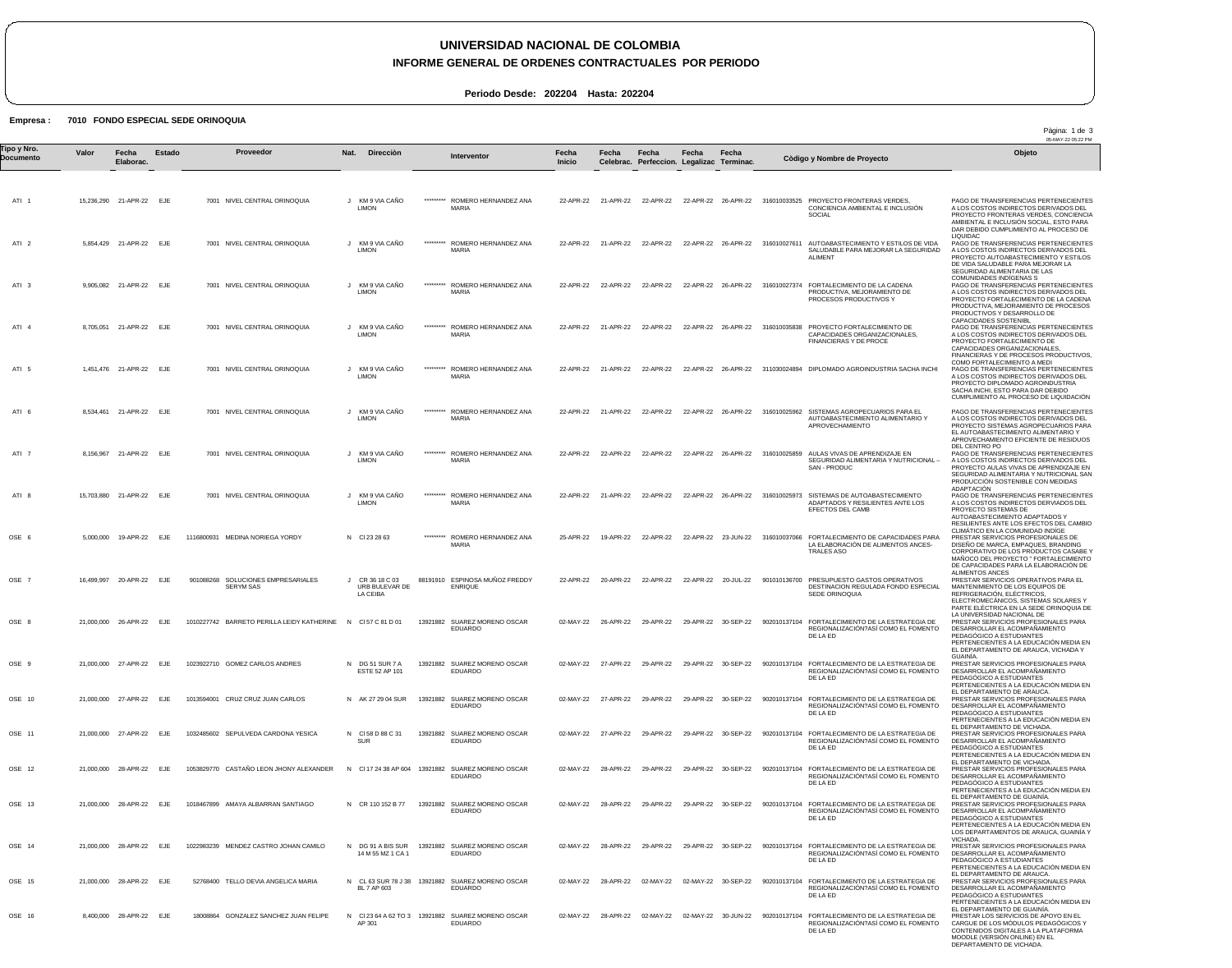## **UNIVERSIDAD NACIONAL DE COLOMBIA**

### **INFORME GENERAL DE ORDENES CONTRACTUALES POR PERIODO**

Pàgina: 1 de 3

MOODLE (VERSIÓN ONLINE) EN EL DEPARTAMENTO DE VICHADA.

**Periodo Desde: 202204 Hasta: 202204**

### **Empresa : 7010 FONDO ESPECIAL SEDE ORINOQUIA**

05-MAY-22 05:22 PM ATI 1 ATI 2 ATI 3 ATI 4 ATI 5 ATI 6 ATI 7 ATI 8 OSE 6 OSE 7 OSE 8 OSE 9 OSE 10 OSE 11 OSE 12 OSE 13 OSE 14 OSE 15 OSE 16 15,236,290 21-APR-22 EJE 5,854,429 21-APR-22 EJE 9,905,082 21-APR-22 EJE 8,705,051 21-APR-22 EJE 1,451,476 21-APR-22 EJE 8,534,461 21-APR-22 EJE 8,156,967 21-APR-22 EJE 15,703,880 21-APR-22 EJE 5,000,000 19-APR-22 EJE 16,499,997 20-APR-22 21,000,000 26-APR-22 EJE 21,000,000 27-APR-22 EJE 21,000,000 27-APR-22 EJE 21,000,000 27-APR-22 EJE 21,000,000 28-APR-22 EJE 21,000,000 28-APR-22 EJE 21,000,000 28-APR-22 EJE 21,000,000 28-APR-22 EJE 8,400,000 28-APR-22 EJE **Valor Fecha Elaborac.** EJE **Estado** 7001 NIVEL CENTRAL ORINOQUIA 7001 NIVEL CENTRAL ORINOQUIA 7001 NIVEL CENTRAL ORINOQUIA 7001 NIVEL CENTRAL ORINOQUIA 7001 NIVEL CENTRAL ORINOQUIA 7001 NIVEL CENTRAL ORINOQUIA 7001 NIVEL CENTRAL ORINOQUIA 7001 NIVEL CENTRAL ORINOQUIA 1116800931 MEDINA NORIEGA YORDY 901088268 SOLUCIONES EMPRESARIALES 1010227742 BARRETO PERILLA LEIDY KATHERINE N Cl 57 C 81 D 01 1023922710 GOMEZ CARLOS ANDRES 1013594001 CRUZ CRUZ JUAN CARLOS 1032485602 SEPULVEDA CARDONA YESICA 1053829770 CASTAÑO LEON JHONY ALEXANDER 1018467899 AMAYA ALBARRAN SANTIAGO 1022983239 MENDEZ CASTRO JOHAN CAMILO 52768400 TELLO DEVIA ANGELICA MARIA 18008864 GONZALEZ SANCHEZ JUAN FELIPE SERYM SAS J KM 9 VIA CAÑO J KM 9 VIA CAÑO J KM 9 VIA CAÑO J KM 9 VIA CAÑO J KM 9 VIA CAÑO J KM 9 VIA CAÑO J KM 9 VIA CAÑO LIMON J KM 9 VIA CAÑO N Cl 23 28 63 J CR 36 18 C 03 N DG 51 SUR 7 A N AK 27 29 04 SUR N Cl 58 D 88 C 31 N Cl 17 24 38 AP 604 13921882 SUAREZ MORENO OSCAR N CR 110 152 B 77 N DG 91 A BIS SUR N CL 63 SUR 78 J 38 13921882 SUAREZ MORENO OSCAR N Cl 23 64 A 62 TO 3 AP 301 13921882 SUAREZ MORENO OSCAR EDUARDO **Nat. Direcciòn** LIMON LIMON LIMON LIMON LIMON LIMON LIMON URB BULEVAR DE LA CEIBA ESTE 52 AP 101 SUR 14 M 55 MZ 1 CA 1 BL 7 AP 603 \*\*\*\*\*\*\*\*\* \*\*\*\*\*\*\*\*\* \*\*\*\*\*\*\*\*\* \*\*\*\*\*\*\*\*\* \*\*\*\*\*\*\*\*\* \*\*\*\*\*\*\*\*\* \*\*\*\*\*\*\*\*\* \*\*\*\*\*\*\*\*\* \*\*\*\*\*\*\*\*\* 88191910 ESPINOSA MUÑOZ FREDDY 13921882 SUAREZ MORENO OSCAR 13921882 SUAREZ MORENO OSCAR 13921882 SUAREZ MORENO OSCAR 13921882 SUAREZ MORENO OSCAR 13921882 SUAREZ MORENO OSCAR 13921882 SUAREZ MORENO OSCAR ROMERO HERNANDEZ ANA MARIA ROMERO HERNANDEZ ANA MARIA ROMERO HERNANDEZ ANA MARIA ROMERO HERNANDEZ ANA MARIA ROMERO HERNANDEZ ANA MARIA ROMERO HERNANDEZ ANA MARIA ROMERO HERNANDEZ ANA MARIA ROMERO HERNANDEZ ANA **MARIA** ROMERO HERNANDEZ ANA **MARIA** ENRIQUE EDUARDO EDUARDO EDUARDO EDUARDO EDUARDO EDUARDO EDUARDO EDUARDO 22-APR-22 21-APR-22 22-APR-22 22-APR-22 26-APR-22 316010033525 PROYECTO FRONTERAS VERDES, 22-APR-22 22-APR-22 22-APR-22 21-APR-22 22-APR-22 22-APR-22 26-APR-22 316010035838 PROYECTO FORTALECIMIENTO DE 22-APR-22 21-APR-22 22-APR-22 22-APR-22 26-APR-22 311030024894 DIPLOMADO AGROINDUSTRIA SACHA INCHI 22-APR-22 22-APR-22 22-APR-22 21-APR-22 22-APR-22 22-APR-22 26-APR-22 316010025973 SISTEMAS DE AUTOABASTECIMIENTO 25-APR-22 22-APR-22 02-MAY-22 26-APR-22 29-APR-22 29-APR-22 30-SEP-22 902010137104 FORTALECIMIENTO DE LA ESTRATEGIA DE 02-MAY-22 27-APR-22 29-APR-22 29-APR-22 30-SEP-22 902010137104 FORTALECIMIENTO DE LA ESTRATEGIA DE<br>DE LA ED<br>DE LA ED 02-MAY-22 27-APR-22 29-APR-22 29-APR-22 30-SEP-22 902010137104 FORTALECIMIENTO DE LA ESTRATEGIA DE 02-MAY-22 02-MAY-22 28-APR-22 29-APR-22 29-APR-22 30-SEP-22 902010137104 FORTALECIMIENTO DE LA ESTRATEGIA DE 02-MAY-22 28-APR-22 29-APR-22 29-APR-22 30-SEP-22 902010137104 FORTALECIMIENTO DE LA ESTRATEGIA DE 02-MAY-22 28-APR-22 29-APR-22 29-APR-22 30-SEP-22 902010137104 FORTALECIMIENTO DE LA ESTRATEGIA DE 02-MAY-22 28-APR-22 02-MAY-22 02-MAY-22 30-SEP-22 902010137104 FORTALECIMIENTO DE LA ESTRATEGIA DE 02-MAY-22 28-APR-22 02-MAY-22 02-MAY-22 30-JUN-22 **Fecha Inicio** 21-APR-22 22-APR-22 22-APR-22 26-APR-22 316010027611 AUTOABASTECIMIENTO Y ESTILOS DE VIDA 22-APR-22 22-APR-22 22-APR-22 26-APR-22 316010027374 FORTALECIMIENTO DE LA CADENA 21-APR-22 22-APR-22 22-APR-22 22-APR-22 26-APR-22 316010025859 AULAS VIVAS DE APRENDIZAJE EN SEGURIDAD ALIMENTARIA Y NUTRICIONAL – 19-APR-22 22-APR-22 22-APR-22 23-JUN-22 316010037066 FORTALECIMIENTO DE CAPACIDADES PARA 20-APR-22 22-APR-22 22-APR-22 20-JUL-22 901010136700 PRESUPUESTO GASTOS OPERATIVOS 27-APR-22 **Fecha Celebrac.** 22-APR-22 29-APR-22 29-APR-22 30-SEP-22 **Fecha Perfeccion. Legalizac Terminac.** 22-APR-22 26-APR-22 316010025962 SISTEMAS AGROPECUARIOS PARA EL **Fecha Fecha** 902010137104 FORTALECIMIENTO DE LA ESTRATEGIA DE 902010137104 FORTALECIMIENTO DE LA ESTRATEGIA DE REGIONALIZACIÓN?ASÍ COMO EL FOMENTO CONCIENCIA AMBIENTAL E INCLUSIÓN SOCIAL SALUDABLE PARA MEJORAR LA SEGURIDAD ALIMENT PRODUCTIVA, MEJORAMIENTO DE PROCESOS PRODUCTIVOS Y CAPACIDADES ORGANIZACIONALES, FINANCIERAS Y DE PROCE AUTOABASTECIMIENTO ALIMENTARIO Y APROVECHAMIENTO SAN - PRODUC ADAPTADOS Y RESILIENTES ANTE LOS EFECTOS DEL CAMB LA ELABORACIÓN DE ALIMENTOS ANCES-TRALES ASO DESTINACION REGULADA FONDO ESPECIAL SEDE ORINOQUIA REGIONALIZACIÓN?ASÍ COMO EL FOMENTO DE LA ED REGIONALIZACIÓN?ASÍ COMO EL FOMENTO DE LA ED REGIONALIZACIÓN?ASÍ COMO EL FOMENTO DE LA ED REGIONALIZACIÓN?ASÍ COMO EL FOMENTO DE LA ED REGIONALIZACIÓN?ASÍ COMO EL FOMENTO DE LA ED REGIONALIZACIÓN?ASÍ COMO EL FOMENTO DE LA ED REGIONALIZACIÓN?ASÍ COMO EL FOMENTO DE LA ED DE LA ED PAGO DE TRANSFERENCIAS PERTENECIENTES A LOS COSTOS INDIRECTOS DERIVADOS DEL PROYECTO FRONTERAS VERDES, CONCIENCIA AMBIENTAL E INCLUSIÓN SOCIAL, ESTO PARA DAR DEBIDO CUMPLIMIENTO AL PROCESO DE LIQUIDAC PAGO DE TRANSFERENCIAS PERTENECIENTES A LOS COSTOS INDIRECTOS DERIVADOS DEL PROYECTO AUTOABASTECIMIENTO Y ESTILOS DE VIDA SALUDABLE PARA MEJORAR LA SEGURIDAD ALIMENTARIA DE LAS COMUNIDADES INDÍGENAS S PAGO DE TRANSFERENCIAS PERTENECIENTES A LOS COSTOS INDIRECTOS DERIVADOS DEL<br>PROVECTO FORTALECIMIENTO DE LA CADENA<br>PRODUCTIVA, MEJORAMIENTO DE PROCESOS<br>PRODUCTIVOS Y DESARROLLO DE<br>CAPACIDADES SOSTENIBL PAGO DE TRANSFERENCIAS PERTENECIENTES A LOS COSTOS INDIRECTOS DERIVADOS DEL PROYECTO FORTALECIMIENTO DE CAPACIDADES ORGANIZACIONALES, FINANCIERAS Y DE PROCESOS PRODUCTIVOS, COMO FORTALECIMIENTO A MEDI PAGO DE TRANSFERENCIAS PERTENECIENTES A LOS COSTOS INDIRECTOS DERIVADOS DEL PROYECTO DIPLOMADO AGROINDUSTRIA SACHA INCHI, ESTO PARA DAR DEBIDO CUMPLIMIENTO AL PROCESO DE LIQUIDACIÓN PAGO DE TRANSFERENCIAS PERTENECIENTES A LOS COSTOS INDIRECTOS DERIVADOS DEL<br>PROYECTO SISTEMAS AGROPECUARIOS PARA<br>EL AUTOABASTECIMIENTO ALIMENTARIO Y<br>APROVECHAMIENTO EFICIENTE DE RESIDUOS DEL CENTRO PO PAGO DE TRANSFERENCIAS PERTENECIENTES A LOS COSTOS INDIRECTOS DERIVADOS DEL PROYECTO AULAS VIVAS DE APRENDIZAJE EN SEGURIDAD ALIMENTARIA Y NUTRICIONAL SAN PRODUCCIÓN SOSTENIBLE CON MEDIDAS ADAPTACIÓN PAGO DE TRANSFERENCIAS PERTENECIENTES A LOS COSTOS INDIRECTOS DERVIADOS DEL<br>PROYECTO SISTEMAS DE<br>AUTOABASTECIMIENTO ADAPTADOS Y<br>RESILIENTES ANTE LOS EFECTOS DEL CAMBIO CLIMÁTICO EN LA COMUNIDAD INDÍGE PRESTAR SERVICIOS PROFESIONALES DE DISEÑO DE MARCA, EMPAQUES, BRANDING CORPORATIVO DE LOS PRODUCTOS CASABE Y MAÑOCO DEL PROYECTO " FORTALECIMIENTO DE CAPACIDADES PARA LA ELABORACIÓN DE ALIMENTOS ANCES<br>PRESTAR SERVICIOS OPERATIVOS PARA EL<br>MANTENIMIENTO DE LOS EQUIPOS DE<br>REFRIGERACIÓN, ELÉCTRICOS,<br>ELECTROMECÁNICOS, SISTEMAS SOLARES Y PARTE ELÉCTRICA EN LA SEDE ORINOQUIA DE LA UNIVERSIDAD NACIONAL DE<br>PRESTAR SERVICIOS PROFESIONALES PARA DESARROLLAR EL ACOMPAÑAMIENTO PEDAGÓGICO A ESTUDIANTES PERTENECIENTES A LA EDUCACIÓN MEDIA EN EL DEPARTAMENTO DE ARAUCA, VICHADA Y GUAINÍA. PRESTAR SERVICIOS PROFESIONALES PARA DESARROLLAR EL ACOMPAÑAMIENTO PEDAGÓGICO A ESTUDIANTES PERTENECIENTES A LA EDUCACIÓN MEDIA EN EL DEPARTAMENTO DE ARAUCA. PRESTAR SERVICIOS PROFESIONALES PARA DESARROLLAR EL ACOMPAÑAMIENTO PEDAGÓGICO A ESTUDIANTES PERTENECIENTES A LA EDUCACIÓN MEDIA EN EL DEPARTAMENTO DE VICHADA. PRESTAR SERVICIOS PROFESIONALES PARA DESARROLLAR EL ACOMPAÑAMIENTO PEDAGÓGICO A ESTUDIANTES PERTENECIENTES A LA EDUCACIÓN MEDIA EN EL DEPARTAMENTO DE VICHADA. PRESTAR SERVICIOS PROFESIONALES PARA DESARROLLAR EL ACOMPAÑAMIENTO PEDAGÓGICO A ESTUDIANTES PERTENECIENTES A LA EDUCACIÓN MEDIA EN EL DEPARTAMENTO DE GUAINÍA. PRESTAR SERVICIOS PROFESIONALES PARA DESARROLLAR EL ACOMPAÑAMIENTO PEDAGÓGICO A ESTUDIANTES PERTENECIENTES A LA EDUCACIÓN MEDIA EN LOS DEPARTAMENTOS DE ARAUCA, GUAINÍA Y **VICHADA** PRESTAR SERVICIOS PROFESIONALES PARA DESARROLLAR EL ACOMPAÑAMIENTO<br>PEDAGÓGICO A ESTUDIANTES PEDAGÓGICO A ESTUDIANTES<br>PERTENECIENTES A LA EDUCACIÓN MEDIA EN<br>EL DEPARTAMENTO DE ARAUCA.<br>PRESTAR SERVICIOS PROFESIONALES PARA DESARROLLAR EL ACOMPAÑAMIENTO PEDAGÓGICO A ESTUDIANTES PERTENECIENTES A LA EDUCACIÓN MEDIA EN EL DEPARTAMENTO DE GUAINÍA. PRESTAR LOS SERVICIOS DE APOYO EN EL CARGUE DE LOS MÓDULOS PEDAGÓGICOS Y CONTENIDOS DIGITALES A LA PLATAFORMA Tipo y Nro.<br>"Province a Valor Fecha Estado Proveedor Nat. Direcciòn Interventor Fecha Fecha Fecha Fecha Computer a variante i a computator a variante del Dijeto **Documento Proveedor Interventor Còdigo y Nombre de Proyecto**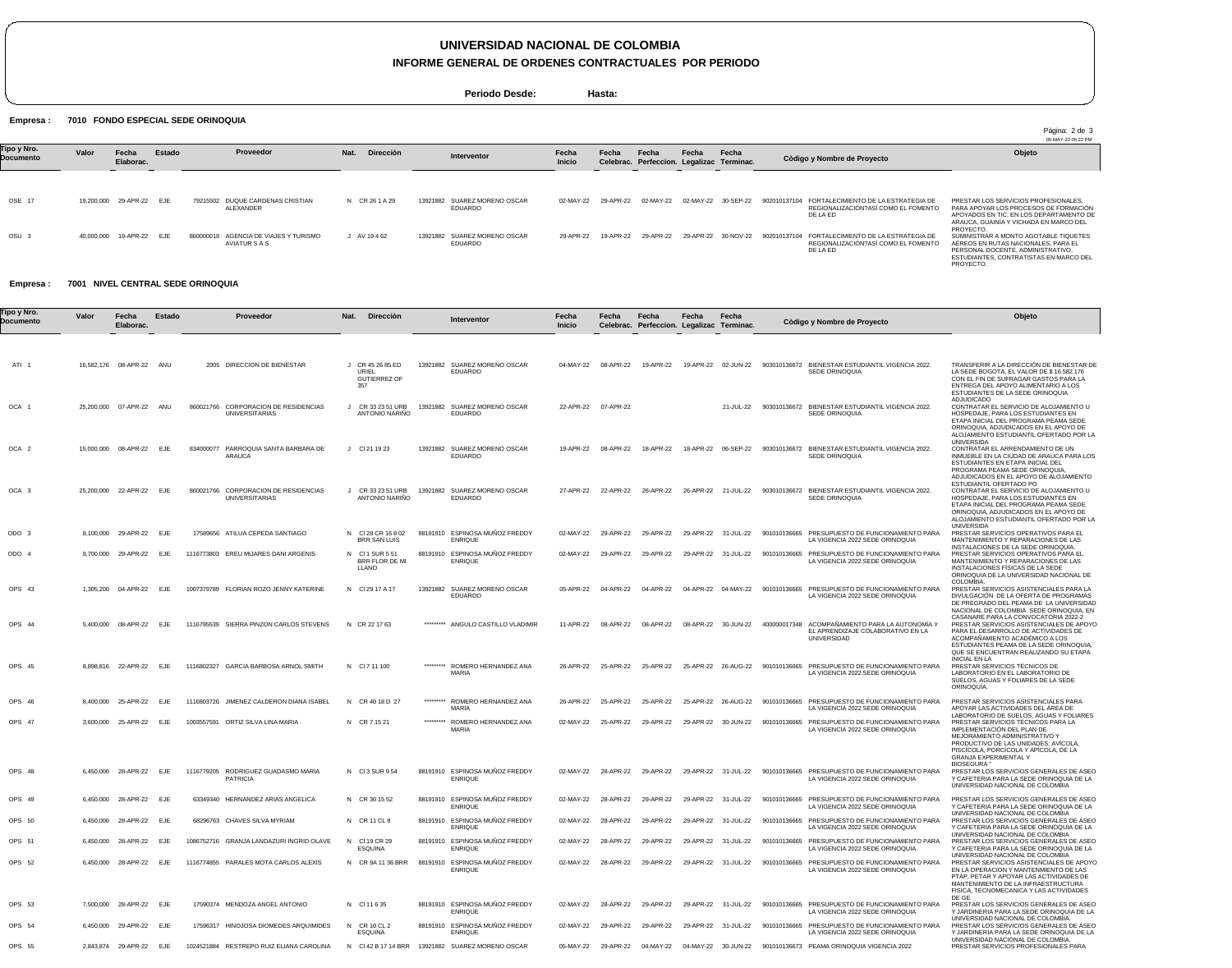# **UNIVERSIDAD NACIONAL DE COLOMBIA**

**INFORME GENERAL DE ORDENES CONTRACTUALES POR PERIODO**

**Periodo Desde: Hasta:**

Empresa : 7010 FONDO ESPECIAL SEDE ORINOQUIA

|                          |            |                    |        |                                                        |                   |                                         |                 |           |                                                    |       |                     |              |                                                                                        | Pàgina: 2 de 3<br>05-MAY-22 05:22 PM                                                                                                                                            |
|--------------------------|------------|--------------------|--------|--------------------------------------------------------|-------------------|-----------------------------------------|-----------------|-----------|----------------------------------------------------|-------|---------------------|--------------|----------------------------------------------------------------------------------------|---------------------------------------------------------------------------------------------------------------------------------------------------------------------------------|
| Tipo y Nro.<br>Documento | Valor      | Fecha<br>Elaborac. | Estado | Proveedor                                              | Direcciòn<br>Nat. | Interventor                             | Fecha<br>Inicio | Fecha     | Fecha<br>Celebrac. Perfeccion. Legalizac Terminac. | Fecha | Fecha               |              | Còdigo y Nombre de Proyecto                                                            | Objeto                                                                                                                                                                          |
|                          |            |                    |        |                                                        |                   |                                         |                 |           |                                                    |       |                     |              |                                                                                        |                                                                                                                                                                                 |
| OSE 17                   | 19,200,000 | 29-APR-22 EJE      |        | 79215502 DUQUE CARDENAS CRISTIAN<br>ALEXANDER          | N CR 26 1 A 29    | 13921882 SUAREZ MORENO OSCAR<br>EDUARDO | 02-MAY-22       | 29-APR-22 | 02-MAY-22                                          |       | 02-MAY-22 30-SEP-22 | 902010137104 | FORTALECIMIENTO DE LA ESTRATEGIA DE<br>REGIONALIZACIÓN?ASÍ COMO EL FOMENTO<br>DE LA ED | PRESTAR LOS SERVICIOS PROFESIONALES.<br>PARA APOYAR LOS PROCESOS DE FORMACIÓN<br>APOYADOS EN TIC. EN LOS DEPARTAMENTO DE<br>ARAUCA. GUAINÍA Y VICHADA EN MARCO DEL<br>PROYECTO. |
| OSU <sub>3</sub>         | 40.000.000 | 19-APR-22 EJE      |        | 860000018 AGENCIA DE VIAJES Y TURISMO<br>AVIATUR S A S | AV 19462          | 13921882 SUAREZ MORENO OSCAR<br>EDUARDO | 29-APR-22       | 19-APR-22 | 29-APR-22                                          |       | 29-APR-22 30-NOV-22 | 902010137104 | FORTALECIMIENTO DE LA ESTRATEGIA DE<br>REGIONALIZACIÓN?ASÍ COMO EL FOMENTO<br>DE LA ED | SUMINISTRAR A MONTO AGOTABLE TIQUETES<br>AÉREOS EN RUTAS NACIONALES. PARA EL<br>PERSONAL DOCENTE, ADMINISTRATIVO.<br>ESTUDIANTES, CONTRATISTAS EN MARCO DEL<br>PROYECTO.        |

#### Empresa : 7001 NIVEL CENTRAL SEDE ORINOQUIA

| Fipo y Nro.<br>Documento | Valor     | Fecha<br>Elaborac.       | Estado | Proveedor                                                                                 | Nat.<br>Dirección                                       |           | Interventor                                      | Fecha<br><b>Inicio</b> | Fecha               | Fecha<br>Celebrac. Perfeccion. Legalizac Terminac. | Fecha     | Fecha               | Còdigo y Nombre de Proyecto                                                                               | Objeto                                                                                                                                                                                                                                                                |
|--------------------------|-----------|--------------------------|--------|-------------------------------------------------------------------------------------------|---------------------------------------------------------|-----------|--------------------------------------------------|------------------------|---------------------|----------------------------------------------------|-----------|---------------------|-----------------------------------------------------------------------------------------------------------|-----------------------------------------------------------------------------------------------------------------------------------------------------------------------------------------------------------------------------------------------------------------------|
|                          |           |                          |        |                                                                                           |                                                         |           |                                                  |                        |                     |                                                    |           |                     |                                                                                                           |                                                                                                                                                                                                                                                                       |
| ATI 1                    |           | 16,582,176 08-APR-22 ANU |        | 2005 DIRECCION DE BIENESTAR                                                               | J CR 45 26 85 ED<br>URIEL<br><b>GUTIERREZ OF</b><br>357 |           | 13921882 SUAREZ MORENO OSCAR<br>EDUARDO          | 04-MAY-22              | 08-APR-22           | 19-APR-22                                          |           | 19-APR-22 02-JUN-22 | 903010136672 BIENESTAR ESTUDIANTIL VIGENCIA 2022.<br>SEDE ORINOQUIA                                       | TRANSFERIR A LA DIRECCIÓN DE BIENESTAR DE<br>LA SEDE BOGOTA, EL VALOR DE \$16.582.176<br>CON EL FIN DE SUFRAGAR GASTOS PARA LA<br>ENTREGA DEL APOYO ALIMENTARIO A LOS<br>ESTUDIANTES DE LA SEDE ORINOQUIA                                                             |
| OCA 1                    |           | 25,200,000 07-APR-22 ANU |        | 860021766 CORPORACION DE RESIDENCIAS<br><b>UNIVERSITARIAS</b>                             | $\mathsf{J}$<br>CR 33 23 51 URB<br>ANTONIO NARIÑO       |           | 13921882 SUAREZ MORENO OSCAR<br>EDUARDO          |                        | 22-APR-22 07-APR-22 |                                                    |           | 21-JUL-22           | 903010136672 BIENESTAR ESTUDIANTIL VIGENCIA 2022.<br>SEDE ORINOQUIA                                       | <b>ADJUDICADO</b><br>CONTRATAR EL SERVICIO DE ALOJAMIENTO U<br>HOSPEDAJE, PARA LOS ESTUDIANTES EN<br>ETAPA INICIAL DEL PROGRAMA PEAMA SEDE<br>ORINOQUIA, ADJUDICADOS EN EL APOYO DE<br>ALOJAMIENTO ESTUDIANTIL OFERTADO POR LA                                        |
| OCA <sub>2</sub>         |           | 15,000,000 08-APR-22 EJE |        | 834000077 PARROQUIA SANTA BARBARA DE<br>ARAUCA                                            | $J$ CI 21 19 23                                         | 13921882  | SUAREZ MORENO OSCAR<br>EDUARDO                   | 19-APR-22              | 08-APR-22           | 18-APR-22                                          |           | 18-APR-22 06-SEP-22 | 903010136672 BIENESTAR ESTUDIANTIL VIGENCIA 2022.<br>SEDE ORINOQUIA                                       | UNIVERSIDA<br>CONTRATAR EL ARRENDAMIENTO DE UN<br>INMUEBLE EN LA CIUDAD DE ARAUCA PARA LOS<br>ESTUDIANTES EN ETAPA INICIAL DEL<br>PROGRAMA PEAMA SEDE ORINOQUIA<br>ADJUDICADOS EN EL APOYO DE ALOJAMIENTO                                                             |
| OCA 3                    |           | 25,200,000 22-APR-22     | EJE    | 860021766 CORPORACION DE RESIDENCIAS<br><b>UNIVERSITARIAS</b>                             | CR 33 23 51 URB<br>$\cdot$<br><b>ANTONIO NARINO</b>     |           | 13921882 SUAREZ MORENO OSCAR<br>EDUARDO          | 27-APR-22              | 22-APR-22           | 26-APR-22                                          |           | 26-APR-22 21-JUL-22 | 903010136672 BIENESTAR ESTUDIANTIL VIGENCIA 2022.<br>SEDE ORINOQUIA                                       | ESTUDIANTIL OFERTADO PO<br>CONTRATAR EL SERVICIO DE ALOJAMIENTO U<br>HOSPEDAJE, PARA LOS ESTUDIANTES EN<br>ETAPA INICIAL DEL PROGRAMA PEAMA SEDE<br>ORINOQUIA, ADJUDICADOS EN EL APOYO DE<br>ALOJAMIENTO ESTUDIANTIL OFERTADO POR LA<br><b>UNIVERSIDA</b>             |
| ODO 3                    |           | 8,100,000 29-APR-22      | EJE    | 17589656 ATILUA CEPEDA SANTIAGO                                                           | N CI28 CR 16 8 02<br>BRR SAN LUIS                       |           | 88191910 ESPINOSA MUÑOZ FREDDY<br><b>ENRIQUE</b> | 02-MAY-22              | 29-APR-22           | 29-APR-22                                          | 29-APR-22 | 31-JUL-22           | PRESUPUESTO DE FUNCIONAMIENTO PARA<br>901010136665<br>LA VIGENCIA 2022 SEDE ORINOQUIA                     | PRESTAR SERVICIOS OPERATIVOS PARA EL<br>MANTENIMIENTO Y REPARACIONES DE LAS                                                                                                                                                                                           |
| ODO 4                    |           | 8,700,000 29-APR-22      | EJE    | 1116773803 EREU MIJARES DANI ARGENIS                                                      | N CI1 SUR 551<br>BRR FLOR DE MI<br>LLANO                |           | 88191910 ESPINOSA MUÑOZ FREDDY<br><b>ENRIQUE</b> | 02-MAY-22              | 29-APR-22           | 29-APR-22                                          |           | 29-APR-22 31-JUL-22 | 901010136665 PRESUPUESTO DE FUNCIONAMIENTO PARA<br>LA VIGENCIA 2022 SEDE ORINOQUIA                        | INSTALACIONES DE LA SEDE ORINOQUIA.<br>PRESTAR SERVICIOS OPERATIVOS PARA EL<br>MANTENIMIENTO Y REPARACIONES DE LAS<br>INSTALACIONES FISICAS DE LA SEDE<br>ORINOQUIA DE LA UNIVERSIDAD NACIONAL DE                                                                     |
| OPS 43                   |           | 1.305.200 04-APR-22 EJE  |        | 1007379789 FLORIAN ROZO JENNY KATERINE                                                    | N CI 29 17 A 17                                         |           | 13921882 SUAREZ MORENO OSCAR<br><b>EDUARDO</b>   |                        | 05-APR-22 04-APR-22 | 04-APR-22                                          |           | 04-APR-22 04-MAY-22 | 901010136665 PRESUPUESTO DE FUNCIONAMIENTO PARA<br>LA VIGENCIA 2022 SEDE ORINOQUIA                        | COLOMBIA.<br>PRESTAR SERVICIOS ASISTENCIALES PARA LA<br>DIVULGACIÓN DE LA OFERTA DE PROGRAMAS<br>DE PREGRADO DEL PEAMA DE LA UNIVERSIDAD<br>NACIONAL DE COLOMBIA SEDE ORINOQUIA, EN                                                                                   |
| OPS 44                   |           | 5.400.000 08-APR-22 EJE  |        | 1116795539 SIERRA PINZON CARLOS STEVENS                                                   | N CR 22 17 63                                           |           | ********* ANGULO CASTILLO VLADIMIR               |                        | 11-APR-22 08-APR-22 | 08-APR-22                                          |           | 08-APR-22 30-JUN-22 | 400000017348 ACOMPAÑAMIENTO PARA LA AUTONOMÍA Y<br>EL APRENDIZAJE COLABORATIVO EN LA<br>UNIVERSIDAD       | CASANARE PARA LA CONVOCATORIA 2022-2<br>PRESTAR SERVICIOS ASISTENCIALES DE APOYC<br>PARA EL DESARROLLO DE ACTIVIDADES DE<br>ACOMPAÑAMIENTO ACADÉMICO A LOS<br>ESTUDIANTES PEAMA DE LA SEDE ORINOQUIA<br>QUE SE ENCUENTRAN REALIZANDO SU ETAPA<br><b>INICIAL EN LA</b> |
| OPS 45                   |           | 8.898.816 22-APR-22 EJE  |        | 1116802327 GARCIA BARBOSA ARNOL SMITH                                                     | N CI 7 11 100                                           | ********* | ROMERO HERNANDEZ ANA<br><b>MARIA</b>             |                        | 26-APR-22 25-APR-22 | 25-APR-22                                          |           |                     | 25-APR-22  26-AUG-22  901010136665  PRESUPUESTO DE FUNCIONAMIENTO PARA<br>LA VIGENCIA 2022 SEDE ORINOQUIA | PRESTAR SERVICIOS TÉCNICOS DE<br>LABORATORIO EN EL LABORATORIO DE<br>SUELOS, AGUAS Y FOLIARES DE LA SEDE<br>ORINOQUIA.                                                                                                                                                |
| OPS 46                   |           | 8,400,000 25-APR-22      | EJE    | 1116803726 JIMENEZ CALDERON DIANA ISABEL                                                  | N CR 40 18 D 27                                         | ********* | ROMERO HERNANDEZ ANA<br><b>MARIA</b>             | 26-APR-22              | 25-APR-22           | 25-APR-22                                          |           | 25-APR-22 26-AUG-22 | 901010136665 PRESUPUESTO DE FUNCIONAMIENTO PARA<br>LA VIGENCIA 2022 SEDE ORINOQUIA                        | PRESTAR SERVICIOS ASISTENCIALES PARA<br>APOYAR LAS ACTIVIDADES DEL ÁREA DE                                                                                                                                                                                            |
| OPS 47                   |           | 3,600,000 25-APR-22      | EJE    | 1003557591 ORTIZ SILVA LINA MARIA                                                         | N CR 7 15 21                                            |           | ********* ROMERO HERNANDEZ ANA<br>MARIA          | 02-MAY-22              | 25-APR-22           | 29-APR-22                                          |           | 29-APR-22 30-JUN-22 | 901010136665 PRESUPUESTO DE FUNCIONAMIENTO PARA<br>LA VIGENCIA 2022 SEDE ORINOQUIA                        | LABORATORIO DE SUELOS, AGUAS Y FOLIARES<br>PRESTAR SERVICIOS TÉCNICOS PARA LA<br>IMPLEMENTACIÓN DEL PLAN DE<br>MEJORAMIENTO ADMINISTRATIVO Y<br>PRODUCTIVO DE LAS UNIDADES: AVÍCOLA<br>PISCÍCOLA, PORCÍCOLA Y APÍCOLA, DE LA<br><b>GRANJA EXPERIMENTAL Y</b>          |
| OPS 48                   |           | 6,450,000 28-APR-22 EJE  |        | 1116779205 RODRIGUEZ GUADASMO MARIA<br><b>PATRICIA</b>                                    | N CI3 SUR 954                                           |           | 88191910 ESPINOSA MUÑOZ FREDDY<br><b>ENRIQUE</b> | 02-MAY-22              | 28-APR-22           | 29-APR-22                                          |           | 29-APR-22 31-JUL-22 | 901010136665 PRESUPUESTO DE FUNCIONAMIENTO PARA<br>LA VIGENCIA 2022 SEDE ORINOQUIA                        | <b>BIOSEGURA "</b><br>PRESTAR LOS SERVICIOS GENERALES DE ASEO<br>Y CAFETERIA PARA LA SEDE ORINOQUIA DE LA<br>UNIVERSIDAD NACIONAL DE COLOMBIA                                                                                                                         |
| OPS 49                   |           | 6,450,000 28-APR-22 EJE  |        | 63349340 HERNANDEZ ARIAS ANGELICA                                                         | N CR 30 15 52                                           |           | 88191910 ESPINOSA MUÑOZ FREDDY<br><b>ENRIQUE</b> | 02-MAY-22              | 28-APR-22           | 29-APR-22                                          |           | 29-APR-22 31-JUL-22 | 901010136665 PRESUPUESTO DE FUNCIONAMIENTO PARA<br>LA VIGENCIA 2022 SEDE ORINOQUIA                        | PRESTAR LOS SERVICIOS GENERALES DE ASEO<br>Y CAFETERIA PARA LA SEDE ORINOQUIA DE LA                                                                                                                                                                                   |
| OPS 50                   | 6.450.000 | 28-APR-22                | EJE    | 68296763 CHAVES SILVA MYRIAM                                                              | N CR 11 CL 8                                            |           | 88191910 ESPINOSA MUÑOZ FREDDY<br><b>ENRIQUE</b> | 02-MAY-22              | 28-APR-22           | 29-APR-22                                          |           | 29-APR-22 31-JUL-22 | 901010136665 PRESUPUESTO DE FUNCIONAMIENTO PARA<br>LA VIGENCIA 2022 SEDE ORINOQUIA                        | UNIVERSIDAD NACIONAL DE COLOMBIA<br>PRESTAR LOS SERVICIOS GENERALES DE ASEO<br>Y CAFETERIA PARA LA SEDE ORINOQUIA DE LA                                                                                                                                               |
| OPS 51                   |           | 6,450,000 28-APR-22 EJE  |        | 1086752716 GRANJA LANDAZURI INGRID OLAVE                                                  | N CI 19 CR 29<br><b>ESQUINA</b>                         |           | 88191910 ESPINOSA MUÑOZ FREDDY<br><b>ENRIQUE</b> |                        | 02-MAY-22 28-APR-22 | 29-APR-22                                          |           | 29-APR-22 31-JUL-22 | 901010136665 PRESUPUESTO DE FUNCIONAMIENTO PARA<br>LA VIGENCIA 2022 SEDE ORINOQUIA                        | UNIVERSIDAD NACIONAL DE COLOMBIA<br>PRESTAR LOS SERVICIOS GENERALES DE ASEO<br>Y CAFETERIA PARA LA SEDE ORINOQUIA DE LA                                                                                                                                               |
| OPS 52                   |           | 6,450,000 28-APR-22 EJE  |        | 1116774855 PARALES MOTA CARLOS ALEXIS                                                     | N CR 9A 11 36 BRR                                       |           | 88191910 ESPINOSA MUÑOZ FREDDY<br><b>ENRIQUE</b> |                        |                     | 02-MAY-22 28-APR-22 29-APR-22 29-APR-22 31-JUL-22  |           |                     | 901010136665 PRESUPUESTO DE FUNCIONAMIENTO PARA<br>LA VIGENCIA 2022 SEDE ORINOQUIA                        | UNIVERSIDAD NACIONAL DE COLOMBIA<br>PRESTAR SERVICIOS ASISTENCIALES DE APOYO<br>EN LA OPERACION Y MANTENMIENTO DE LAS<br>PTAP, PETAR Y APOYAR LAS ACTIVIDADES DE<br>MANTENIMIENTO DE LA INFRAESTRUCTURA<br>FISICA, TECNOMECANICA Y LAS ACTIVIDADES                    |
| OPS 53                   |           | 7,500,000 28-APR-22 EJE  |        | 17590374 MENDOZA ANGEL ANTONIO                                                            | N CI 11 6 35                                            |           | 88191910 ESPINOSA MUÑOZ FREDDY<br><b>ENRIQUE</b> |                        | 02-MAY-22 28-APR-22 | 29-APR-22                                          |           | 29-APR-22 31-JUL-22 | 901010136665 PRESUPUESTO DE FUNCIONAMIENTO PARA<br>LA VIGENCIA 2022 SEDE ORINOQUIA                        | DE GE<br>PRESTAR LOS SERVICIOS GENERALES DE ASEO<br>Y JARDINERIA PARA LA SEDE ORINOQUIA DE LA<br>UNIVERSIDAD NACIONAL DE COLOMBIA.                                                                                                                                    |
| OPS 54                   |           | 6,450,000 29-APR-22 EJE  |        | 17596317 HINOJOSA DIOMEDES ARQUIMIDES                                                     | N CR 10 CL 2<br>ESQUINA                                 |           | 88191910 ESPINOSA MUÑOZ FREDDY<br><b>ENRIQUE</b> |                        | 02-MAY-22 29-APR-22 | 29-APR-22                                          |           | 29-APR-22 31-JUL-22 | 901010136665 PRESUPUESTO DE FUNCIONAMIENTO PARA<br>LA VIGENCIA 2022 SEDE ORINOQUIA                        | PRESTAR LOS SERVICIOS GENERALES DE ASEO<br>Y JARDINERÍA PARA LA SEDE ORINOQUIA DE LA                                                                                                                                                                                  |
| OPS 55                   |           | 2,843,874 29-APR-22 EJE  |        | 1024521884 RESTREPO RUIZ ELIANA CAROLINA N CI 42 B 17 14 BRR 13921882 SUAREZ MORENO OSCAR |                                                         |           |                                                  |                        |                     |                                                    |           |                     | 05-MAY-22 29-APR-22 04-MAY-22 04-MAY-22 30-JUN-22 901010136673 PEAMA ORINOQUIA VIGENCIA 2022              | UNIVERSIDAD NACIONAL DE COLOMBIA.<br>PRESTAR SERVICIOS PROFESIONALES PARA                                                                                                                                                                                             |